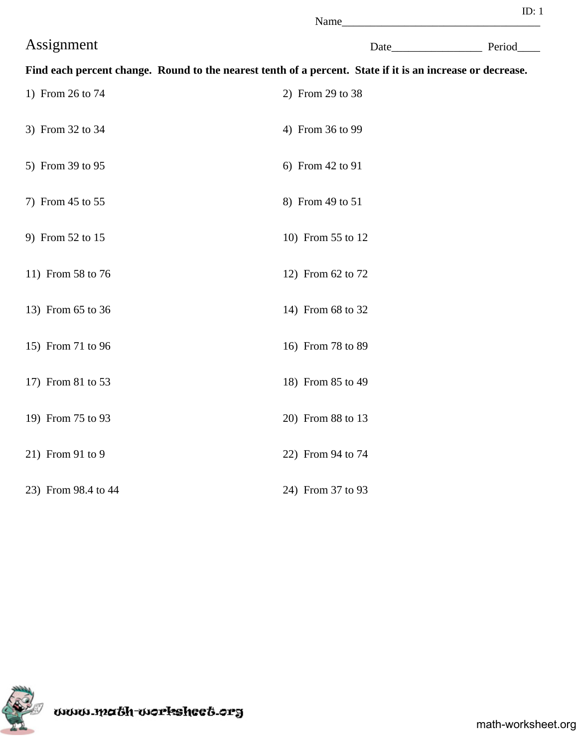|                     | Name                                                                                                       |             |
|---------------------|------------------------------------------------------------------------------------------------------------|-------------|
| Assignment          |                                                                                                            | Date Period |
|                     | Find each percent change. Round to the nearest tenth of a percent. State if it is an increase or decrease. |             |
| 1) From 26 to 74    | 2) From 29 to 38                                                                                           |             |
| 3) From 32 to 34    | 4) From 36 to 99                                                                                           |             |
| 5) From 39 to 95    | 6) From 42 to 91                                                                                           |             |
| 7) From 45 to 55    | 8) From 49 to 51                                                                                           |             |
| 9) From 52 to 15    | 10) From 55 to 12                                                                                          |             |
| 11) From 58 to 76   | 12) From 62 to 72                                                                                          |             |
| 13) From 65 to 36   | 14) From 68 to 32                                                                                          |             |
| 15) From 71 to 96   | 16) From 78 to 89                                                                                          |             |
| 17) From 81 to 53   | 18) From 85 to 49                                                                                          |             |
| 19) From 75 to 93   | 20) From 88 to 13                                                                                          |             |
| 21) From 91 to 9    | 22) From 94 to 74                                                                                          |             |
| 23) From 98.4 to 44 | 24) From 37 to 93                                                                                          |             |

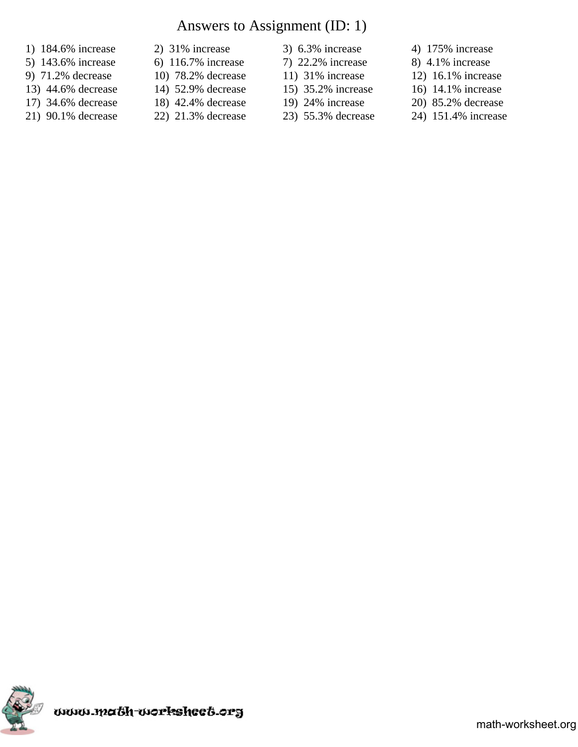# Answers to Assignment (ID: 1)

- 1) 184.6% increase 2) 31% increase 3) 6.3% increase 4) 175% increase
- 5) 143.6% increase 6) 116.7% increase 7) 22.2% increase 8) 4.1% increase
- 
- 13) 44.6% decrease 14) 52.9% decrease 15) 35.2% increase 16) 14.1% increase
- 
- 
- 
- 
- 
- 
- 
- 
- 
- 
- 
- -
- 
- 
- 9) 71.2% decrease 10) 78.2% decrease 11) 31% increase 12) 16.1% increase
	-
- 17) 34.6% decrease 18) 42.4% decrease 19) 24% increase 20) 85.2% decrease
- 21) 90.1% decrease 22) 21.3% decrease 23) 55.3% decrease 24) 151.4% increase

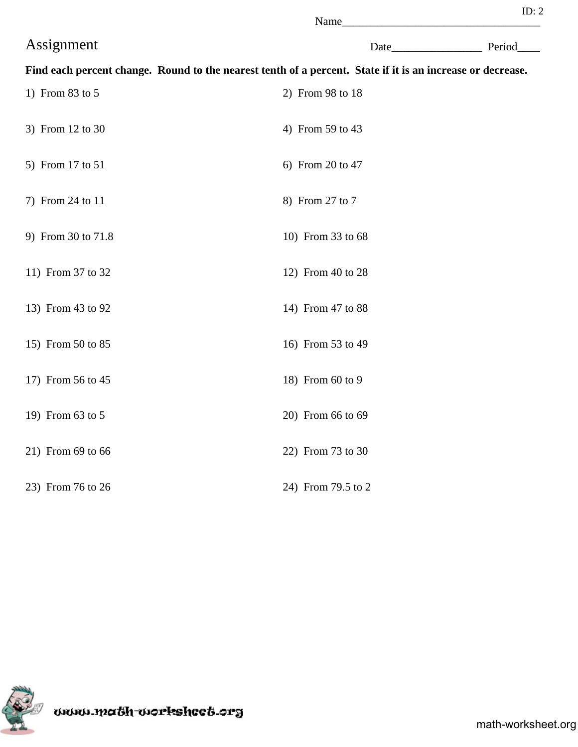|                    | Name                                                                                                       |             |
|--------------------|------------------------------------------------------------------------------------------------------------|-------------|
| Assignment         |                                                                                                            | Date Period |
|                    | Find each percent change. Round to the nearest tenth of a percent. State if it is an increase or decrease. |             |
| 1) From 83 to 5    | 2) From 98 to 18                                                                                           |             |
| 3) From 12 to 30   | 4) From 59 to 43                                                                                           |             |
| 5) From 17 to 51   | 6) From 20 to 47                                                                                           |             |
| 7) From 24 to 11   | 8) From 27 to 7                                                                                            |             |
| 9) From 30 to 71.8 | 10) From 33 to 68                                                                                          |             |
| 11) From 37 to 32  | 12) From 40 to 28                                                                                          |             |
| 13) From 43 to 92  | 14) From 47 to 88                                                                                          |             |
| 15) From 50 to 85  | 16) From 53 to 49                                                                                          |             |
| 17) From 56 to 45  | 18) From 60 to 9                                                                                           |             |
| 19) From 63 to 5   | 20) From 66 to 69                                                                                          |             |
| 21) From 69 to 66  | 22) From 73 to 30                                                                                          |             |
| 23) From 76 to 26  | 24) From 79.5 to 2                                                                                         |             |



www.ma&h-workshee&.org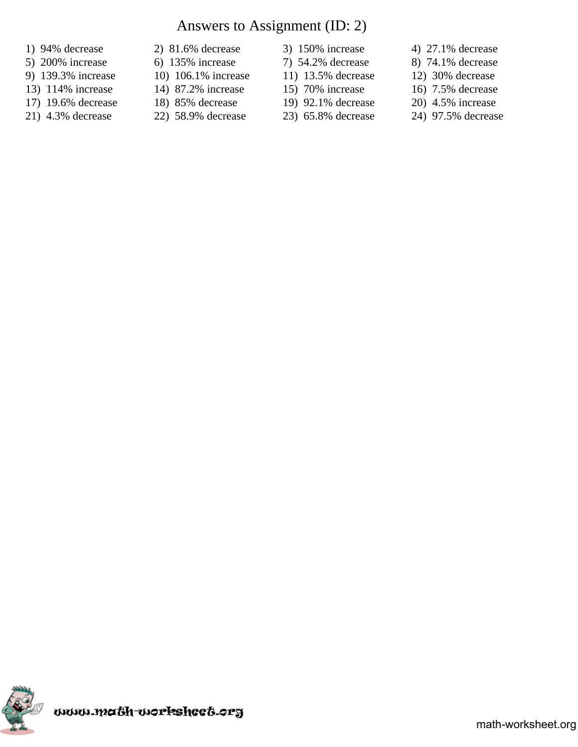# Answers to Assignment (ID: 2)

- 
- 
- 
- 13) 114% increase 14) 87.2% increase 15) 70% increase 16) 7.5% decrease
- 17) 19.6% decrease 18) 85% decrease 19) 92.1% decrease 20) 4.5% increase
- 
- 
- 
- 
- 
- 
- 
- 
- 
- 
- -
- 1) 94% decrease 2) 81.6% decrease 3) 150% increase 4) 27.1% decrease
- 5) 200% increase 6) 135% increase 7) 54.2% decrease 8) 74.1% decrease
- 9) 139.3% increase 10) 106.1% increase 11) 13.5% decrease 12) 30% decrease
	-
	-
- 21) 4.3% decrease 22) 58.9% decrease 23) 65.8% decrease 24) 97.5% decrease

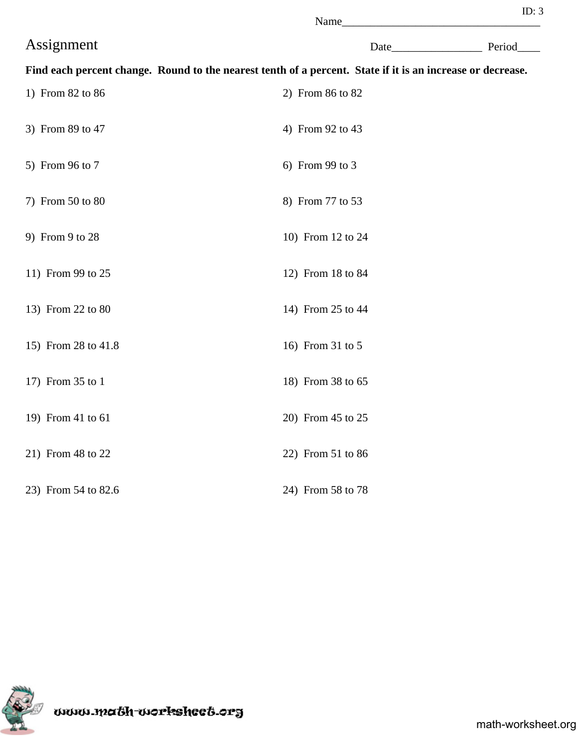|                     | Name                                                                                                       |  |
|---------------------|------------------------------------------------------------------------------------------------------------|--|
| Assignment          | Date Period                                                                                                |  |
|                     | Find each percent change. Round to the nearest tenth of a percent. State if it is an increase or decrease. |  |
| 1) From 82 to 86    | 2) From 86 to 82                                                                                           |  |
| 3) From 89 to 47    | 4) From 92 to 43                                                                                           |  |
| 5) From 96 to 7     | 6) From 99 to 3                                                                                            |  |
| 7) From 50 to 80    | 8) From 77 to 53                                                                                           |  |
| 9) From 9 to 28     | 10) From 12 to 24                                                                                          |  |
| 11) From 99 to 25   | 12) From 18 to 84                                                                                          |  |
| 13) From 22 to 80   | 14) From 25 to 44                                                                                          |  |
| 15) From 28 to 41.8 | 16) From 31 to 5                                                                                           |  |
| 17) From 35 to 1    | 18) From 38 to 65                                                                                          |  |
| 19) From 41 to 61   | 20) From 45 to 25                                                                                          |  |
| 21) From 48 to 22   | 22) From 51 to 86                                                                                          |  |
| 23) From 54 to 82.6 | 24) From 58 to 78                                                                                          |  |



uuuu.math-uorksheet.org

math-worksheet.org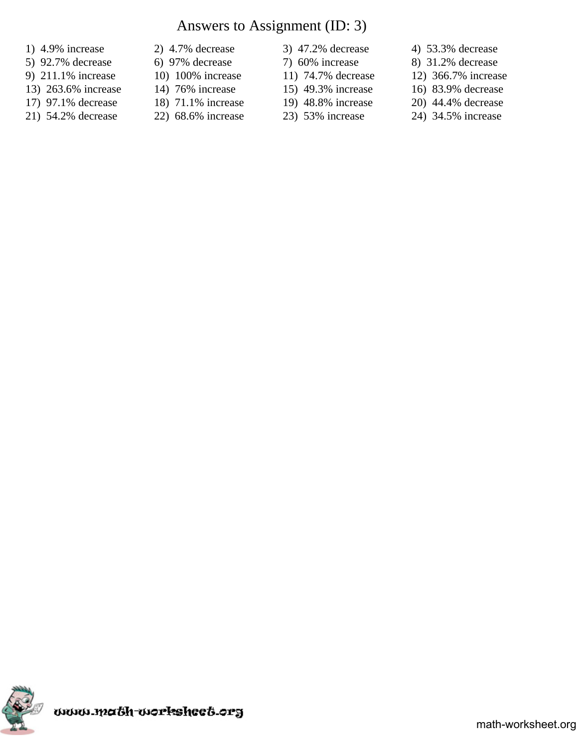### Answers to Assignment (ID: 3)

- 
- 
- 
- 13) 263.6% increase 14) 76% increase 15) 49.3% increase 16) 83.9% decrease
- 17) 97.1% decrease 18) 71.1% increase 19) 48.8% increase 20) 44.4% decrease
- 21) 54.2% decrease 22) 68.6% increase 23) 53% increase 24) 34.5% increase
- 
- 
- 
- 
- 
- 
- 
- 
- 
- -
- 1) 4.9% increase 2) 4.7% decrease 3) 47.2% decrease 4) 53.3% decrease
- 5) 92.7% decrease 6) 97% decrease 7) 60% increase 8) 31.2% decrease
- 9) 211.1% increase 10) 100% increase 11) 74.7% decrease 12) 366.7% increase
	-
	-
	-

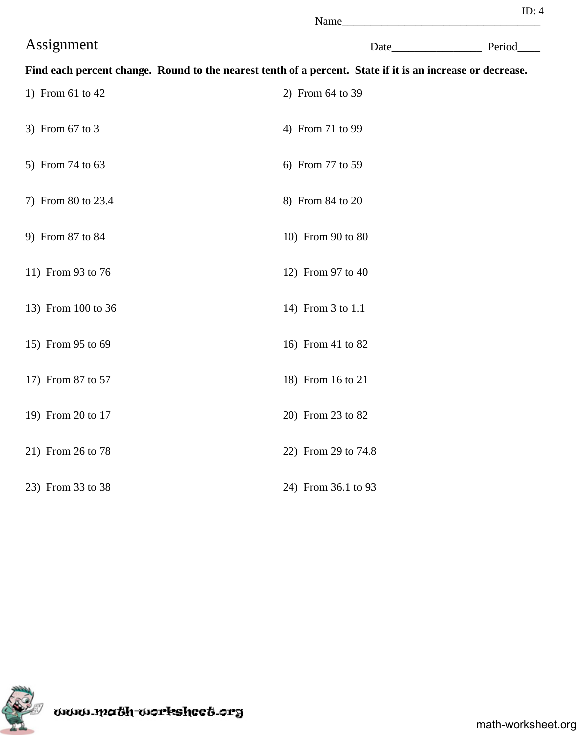|                    | Name                                                                                                       |             |
|--------------------|------------------------------------------------------------------------------------------------------------|-------------|
| Assignment         |                                                                                                            | Date Period |
|                    | Find each percent change. Round to the nearest tenth of a percent. State if it is an increase or decrease. |             |
| 1) From 61 to 42   | 2) From 64 to 39                                                                                           |             |
| 3) From 67 to 3    | 4) From 71 to 99                                                                                           |             |
| 5) From 74 to 63   | 6) From 77 to 59                                                                                           |             |
| 7) From 80 to 23.4 | 8) From 84 to 20                                                                                           |             |
| 9) From 87 to 84   | 10) From 90 to 80                                                                                          |             |
| 11) From 93 to 76  | 12) From 97 to 40                                                                                          |             |
| 13) From 100 to 36 | 14) From 3 to 1.1                                                                                          |             |
| 15) From 95 to 69  | 16) From 41 to 82                                                                                          |             |
| 17) From 87 to 57  | 18) From 16 to 21                                                                                          |             |
| 19) From 20 to 17  | 20) From 23 to 82                                                                                          |             |
| 21) From 26 to 78  | 22) From 29 to 74.8                                                                                        |             |
| 23) From 33 to 38  | 24) From 36.1 to 93                                                                                        |             |



uuu.maöh-uorksheeö.org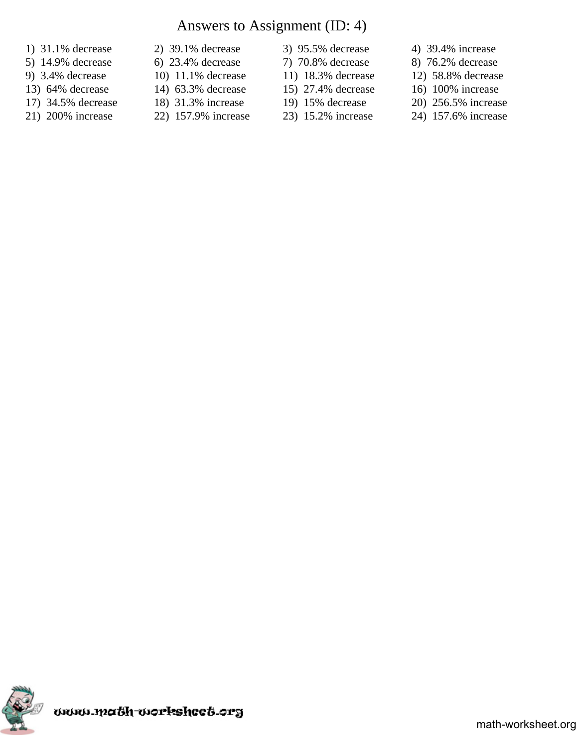# Answers to Assignment (ID: 4)

- 
- 
- 
- 13) 64% decrease 14) 63.3% decrease 15) 27.4% decrease 16) 100% increase
- -
- 1) 31.1% decrease 2) 39.1% decrease 3) 95.5% decrease 4) 39.4% increase
	- -
	-
	-
- 
- 
- 
- 
- -
- 
- 5) 14.9% decrease 6) 23.4% decrease 7) 70.8% decrease 8) 76.2% decrease
- 9) 3.4% decrease 10) 11.1% decrease 11) 18.3% decrease 12) 58.8% decrease
	-
- 17) 34.5% decrease 18) 31.3% increase 19) 15% decrease 20) 256.5% increase
- 21) 200% increase 22) 157.9% increase 23) 15.2% increase 24) 157.6% increase

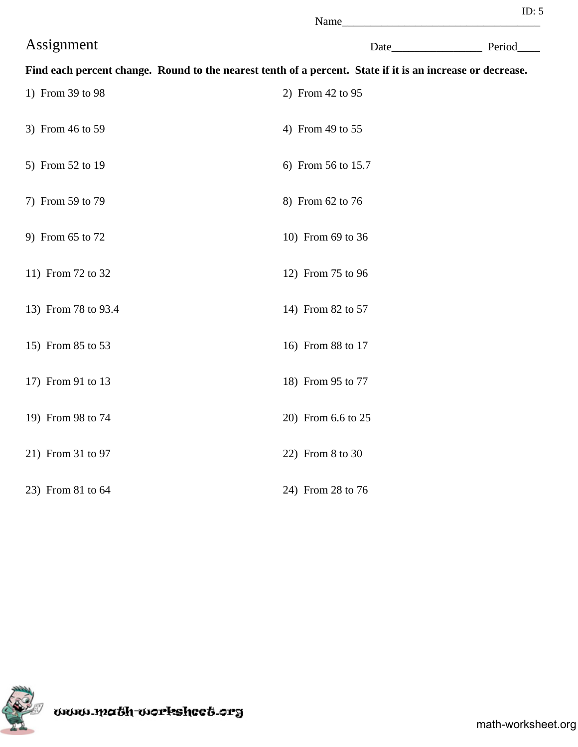| ı |  |  |
|---|--|--|

|                     | Name                                                                                                       |             |
|---------------------|------------------------------------------------------------------------------------------------------------|-------------|
| Assignment          |                                                                                                            | Date Period |
|                     | Find each percent change. Round to the nearest tenth of a percent. State if it is an increase or decrease. |             |
| 1) From 39 to 98    | 2) From 42 to 95                                                                                           |             |
| 3) From 46 to 59    | 4) From 49 to 55                                                                                           |             |
| 5) From 52 to 19    | 6) From 56 to 15.7                                                                                         |             |
| 7) From 59 to 79    | 8) From 62 to 76                                                                                           |             |
| 9) From 65 to 72    | 10) From 69 to 36                                                                                          |             |
| 11) From 72 to 32   | 12) From 75 to 96                                                                                          |             |
| 13) From 78 to 93.4 | 14) From 82 to 57                                                                                          |             |
| 15) From 85 to 53   | 16) From 88 to 17                                                                                          |             |
| 17) From 91 to 13   | 18) From 95 to 77                                                                                          |             |
| 19) From 98 to 74   | 20) From 6.6 to 25                                                                                         |             |
| 21) From 31 to 97   | 22) From 8 to 30                                                                                           |             |
| 23) From 81 to 64   | 24) From 28 to 76                                                                                          |             |



www.ma&h-workshee&.org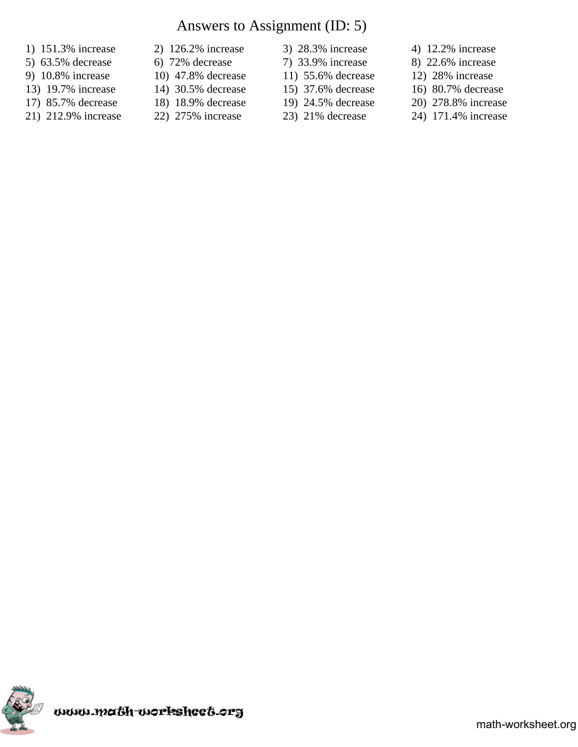# Answers to Assignment (ID: 5)

- 
- 
- 
- 
- 
- 
- 1) 151.3% increase 2) 126.2% increase 3) 28.3% increase 4) 12.2% increase
	- -
	-
	-
- 
- 
- 13) 19.7% increase 14) 30.5% decrease 15) 37.6% decrease 16) 80.7% decrease
- 17) 85.7% decrease 18) 18.9% decrease 19) 24.5% decrease 20) 278.8% increase
	-
- 
- 5) 63.5% decrease 6) 72% decrease 7) 33.9% increase 8) 22.6% increase
- 9) 10.8% increase 10) 47.8% decrease 11) 55.6% decrease 12) 28% increase
	-
	-
- 21) 212.9% increase 22) 275% increase 23) 21% decrease 24) 171.4% increase

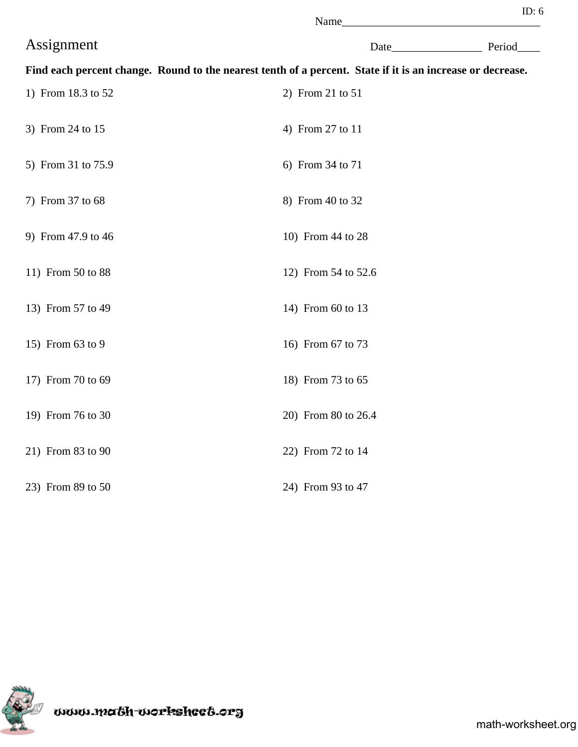| ı |  |  |
|---|--|--|

|                    | Name                                                                                                       |  |
|--------------------|------------------------------------------------------------------------------------------------------------|--|
| Assignment         | Date Period                                                                                                |  |
|                    | Find each percent change. Round to the nearest tenth of a percent. State if it is an increase or decrease. |  |
| 1) From 18.3 to 52 | 2) From 21 to 51                                                                                           |  |
| 3) From 24 to 15   | 4) From 27 to 11                                                                                           |  |
| 5) From 31 to 75.9 | 6) From 34 to 71                                                                                           |  |
| 7) From 37 to 68   | 8) From 40 to 32                                                                                           |  |
| 9) From 47.9 to 46 | 10) From 44 to 28                                                                                          |  |
| 11) From 50 to 88  | 12) From 54 to 52.6                                                                                        |  |
| 13) From 57 to 49  | 14) From 60 to 13                                                                                          |  |
| 15) From 63 to 9   | 16) From 67 to 73                                                                                          |  |
| 17) From 70 to 69  | 18) From 73 to 65                                                                                          |  |
| 19) From 76 to 30  | 20) From 80 to 26.4                                                                                        |  |
| 21) From 83 to 90  | 22) From 72 to 14                                                                                          |  |
| 23) From 89 to 50  | 24) From 93 to 47                                                                                          |  |



uuu.maöh-uorksheeö.org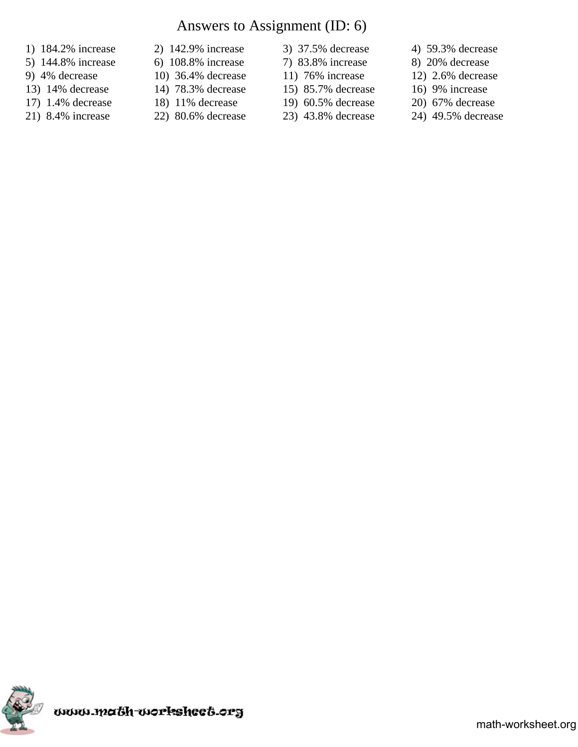# Answers to Assignment (ID: 6)

- 
- 5) 144.8% increase 6) 108.8% increase 7) 83.8% increase 8) 20% decrease
- 
- 13) 14% decrease 14) 78.3% decrease 15) 85.7% decrease 16) 9% increase
- 17) 1.4% decrease 18) 11% decrease 19) 60.5% decrease 20) 67% decrease
- 
- 1) 184.2% increase 2) 142.9% increase 3) 37.5% decrease 4) 59.3% decrease
	-
	-
	-
	-
- 
- 
- 
- 
- 
- 
- 
- 9) 4% decrease 10) 36.4% decrease 11) 76% increase 12) 2.6% decrease
	-
	-
- 21) 8.4% increase 22) 80.6% decrease 23) 43.8% decrease 24) 49.5% decrease

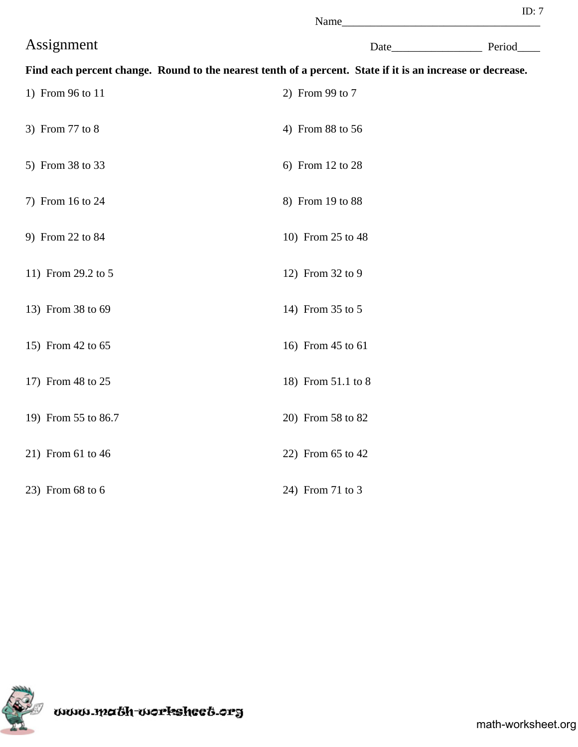|                     | Name                                                                                                       |             |
|---------------------|------------------------------------------------------------------------------------------------------------|-------------|
| Assignment          |                                                                                                            | Date Period |
|                     | Find each percent change. Round to the nearest tenth of a percent. State if it is an increase or decrease. |             |
| 1) From 96 to 11    | 2) From 99 to 7                                                                                            |             |
| 3) From 77 to 8     | 4) From 88 to 56                                                                                           |             |
| 5) From 38 to 33    | 6) From 12 to 28                                                                                           |             |
| 7) From 16 to 24    | 8) From 19 to 88                                                                                           |             |
| 9) From 22 to 84    | 10) From 25 to 48                                                                                          |             |
| 11) From 29.2 to 5  | 12) From 32 to 9                                                                                           |             |
| 13) From 38 to 69   | 14) From 35 to 5                                                                                           |             |
| 15) From 42 to 65   | 16) From 45 to 61                                                                                          |             |
| 17) From 48 to 25   | 18) From 51.1 to 8                                                                                         |             |
| 19) From 55 to 86.7 | 20) From 58 to 82                                                                                          |             |
| 21) From 61 to 46   | 22) From 65 to 42                                                                                          |             |
| 23) From 68 to 6    | 24) From 71 to 3                                                                                           |             |

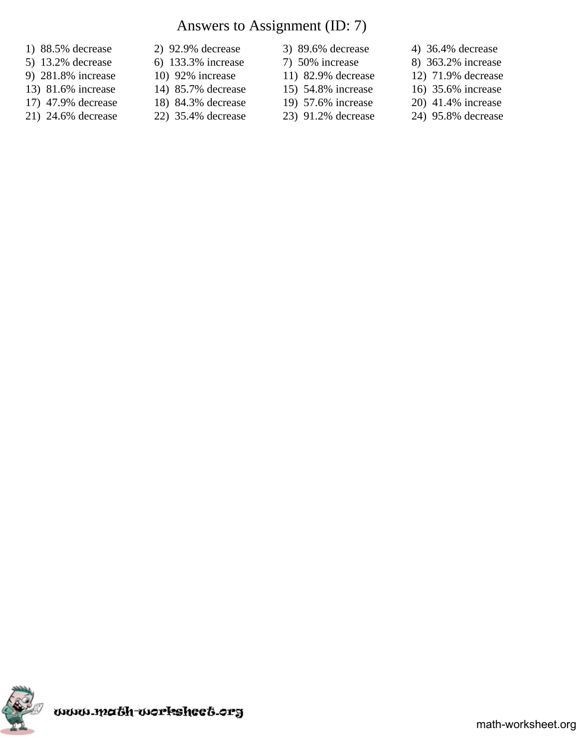# Answers to Assignment (ID: 7)

- 
- 
- 
- 13) 81.6% increase 14) 85.7% decrease 15) 54.8% increase 16) 35.6% increase
- 17) 47.9% decrease 18) 84.3% decrease 19) 57.6% increase 20) 41.4% increase
- 21) 24.6% decrease 22) 35.4% decrease 23) 91.2% decrease 24) 95.8% decrease
- 1) 88.5% decrease 2) 92.9% decrease 3) 89.6% decrease 4) 36.4% decrease
	- -
		- -
		-
- 
- 5) 13.2% decrease 6) 133.3% increase 7) 50% increase 8) 363.2% increase
- 9) 281.8% increase 10) 92% increase 11) 82.9% decrease 12) 71.9% decrease
	-
	-
	-

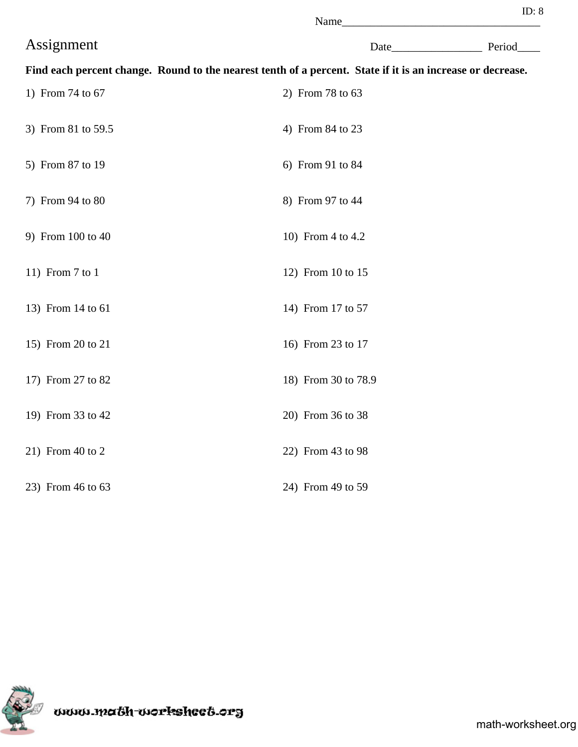| ↖<br>N | ame |  |
|--------|-----|--|

|                    | Name                                                                                                       |             |
|--------------------|------------------------------------------------------------------------------------------------------------|-------------|
| Assignment         |                                                                                                            | Date Period |
|                    | Find each percent change. Round to the nearest tenth of a percent. State if it is an increase or decrease. |             |
| 1) From 74 to 67   | 2) From 78 to 63                                                                                           |             |
| 3) From 81 to 59.5 | 4) From 84 to 23                                                                                           |             |
| 5) From 87 to 19   | 6) From 91 to 84                                                                                           |             |
| 7) From 94 to 80   | 8) From 97 to 44                                                                                           |             |
| 9) From 100 to 40  | 10) From 4 to 4.2                                                                                          |             |
| 11) From $7$ to 1  | 12) From 10 to 15                                                                                          |             |
| 13) From 14 to 61  | 14) From 17 to 57                                                                                          |             |
| 15) From 20 to 21  | 16) From 23 to 17                                                                                          |             |
| 17) From 27 to 82  | 18) From 30 to 78.9                                                                                        |             |
| 19) From 33 to 42  | 20) From 36 to 38                                                                                          |             |
| 21) From 40 to 2   | 22) From 43 to 98                                                                                          |             |
| 23) From 46 to 63  | 24) From 49 to 59                                                                                          |             |



www.ma&h-workshee&.org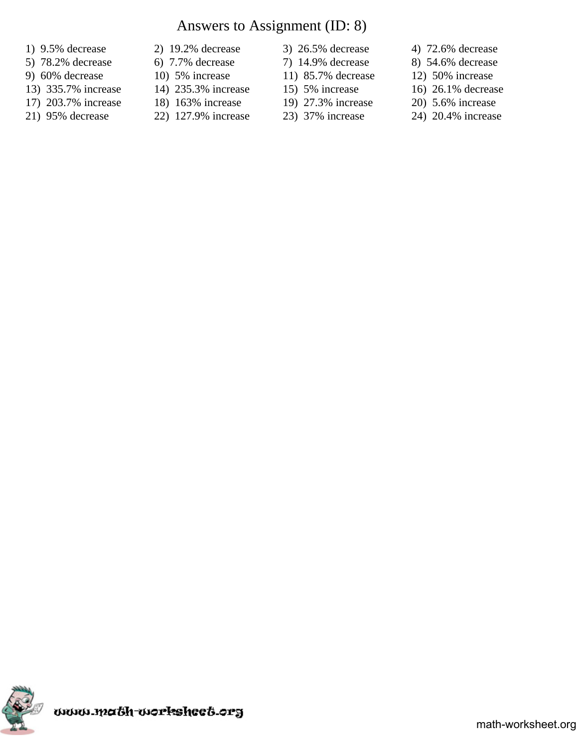# Answers to Assignment (ID: 8)

- 
- 5) 78.2% decrease 6) 7.7% decrease 7) 14.9% decrease 8) 54.6% decrease
- 
- 13) 335.7% increase 14) 235.3% increase 15) 5% increase 16) 26.1% decrease
- 
- 
- 1) 9.5% decrease 2) 19.2% decrease 3) 26.5% decrease 4) 72.6% decrease
	-
	-
	-
	-
	-
- 
- 
- 
- 
- 
- 
- 
- 
- 9) 60% decrease 10) 5% increase 11) 85.7% decrease 12) 50% increase
	-
- 17) 203.7% increase 18) 163% increase 19) 27.3% increase 20) 5.6% increase
- 21) 95% decrease 22) 127.9% increase 23) 37% increase 24) 20.4% increase

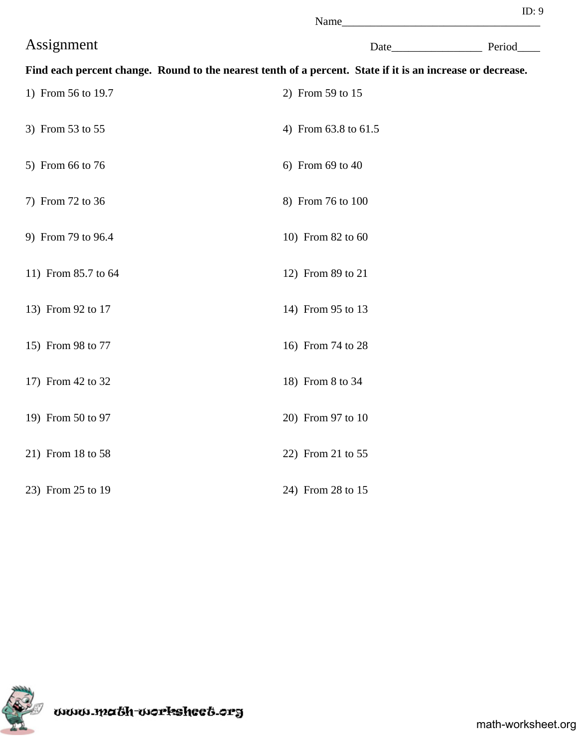| I<br>ſ<br>۰. |  |  |
|--------------|--|--|

|                                                                                                            | Name                 |  |
|------------------------------------------------------------------------------------------------------------|----------------------|--|
| Assignment                                                                                                 | Date Period          |  |
| Find each percent change. Round to the nearest tenth of a percent. State if it is an increase or decrease. |                      |  |
| 1) From 56 to 19.7                                                                                         | 2) From 59 to 15     |  |
| 3) From 53 to 55                                                                                           | 4) From 63.8 to 61.5 |  |
| 5) From 66 to 76                                                                                           | 6) From 69 to 40     |  |
| 7) From 72 to 36                                                                                           | 8) From 76 to 100    |  |
| 9) From 79 to 96.4                                                                                         | 10) From 82 to 60    |  |
| 11) From 85.7 to 64                                                                                        | 12) From 89 to 21    |  |
| 13) From 92 to 17                                                                                          | 14) From 95 to 13    |  |
| 15) From 98 to 77                                                                                          | 16) From 74 to 28    |  |
| 17) From 42 to 32                                                                                          | 18) From 8 to 34     |  |
| 19) From 50 to 97                                                                                          | 20) From 97 to 10    |  |
| 21) From 18 to 58                                                                                          | 22) From 21 to 55    |  |
| 23) From 25 to 19                                                                                          | 24) From 28 to 15    |  |

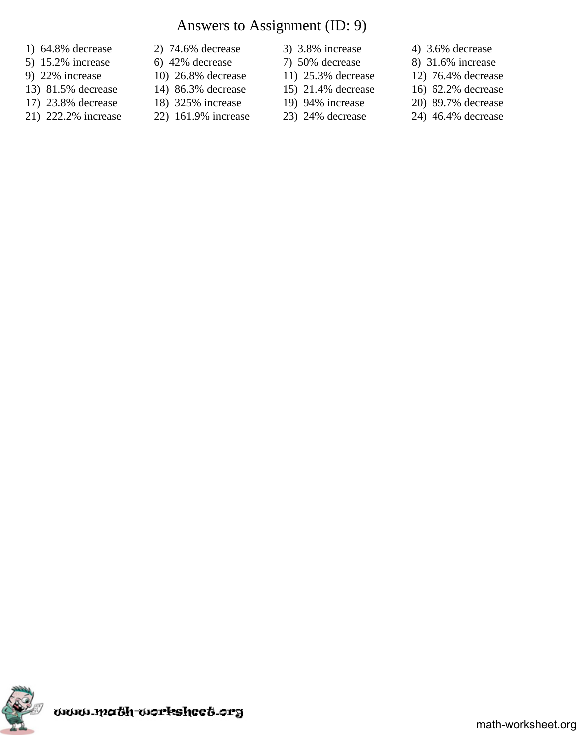# Answers to Assignment (ID: 9)

- 
- 
- 
- 13) 81.5% decrease 14) 86.3% decrease 15) 21.4% decrease 16) 62.2% decrease
- 17) 23.8% decrease 18) 325% increase 19) 94% increase 20) 89.7% decrease
- 21) 222.2% increase 22) 161.9% increase 23) 24% decrease 24) 46.4% decrease
- 1) 64.8% decrease 2) 74.6% decrease 3) 3.8% increase 4) 3.6% decrease
	- -
	-
	-
	-
- 
- 
- 
- 
- -
- 
- 5) 15.2% increase 6) 42% decrease 7) 50% decrease 8) 31.6% increase
- 9) 22% increase 10) 26.8% decrease 11) 25.3% decrease 12) 76.4% decrease
	-
	-
	-

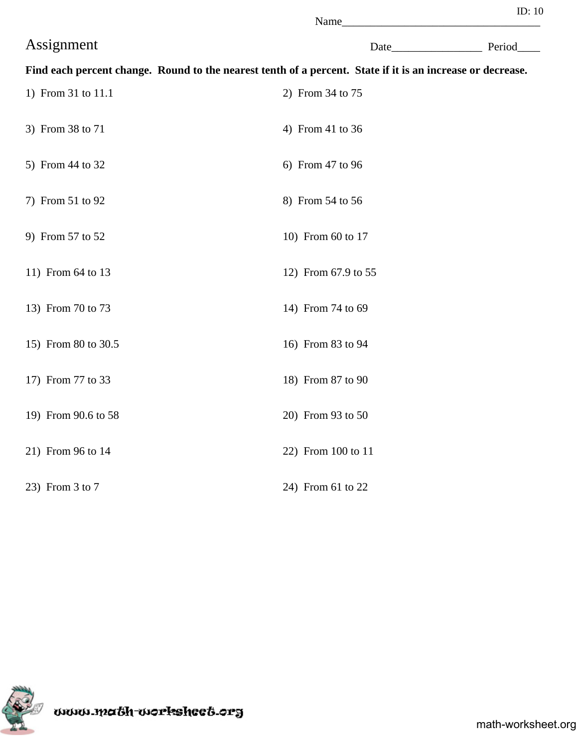| - |  |
|---|--|
|---|--|

|                     | Name                                                                                                       |             |
|---------------------|------------------------------------------------------------------------------------------------------------|-------------|
| Assignment          |                                                                                                            | Date Period |
|                     | Find each percent change. Round to the nearest tenth of a percent. State if it is an increase or decrease. |             |
| 1) From 31 to 11.1  | 2) From 34 to 75                                                                                           |             |
| 3) From 38 to 71    | 4) From 41 to 36                                                                                           |             |
| 5) From 44 to 32    | 6) From 47 to 96                                                                                           |             |
| 7) From 51 to 92    | 8) From 54 to 56                                                                                           |             |
| 9) From 57 to 52    | 10) From 60 to 17                                                                                          |             |
| 11) From 64 to 13   | 12) From 67.9 to 55                                                                                        |             |
| 13) From 70 to 73   | 14) From 74 to 69                                                                                          |             |
| 15) From 80 to 30.5 | 16) From 83 to 94                                                                                          |             |
| 17) From 77 to 33   | 18) From 87 to 90                                                                                          |             |
| 19) From 90.6 to 58 | 20) From 93 to 50                                                                                          |             |
| 21) From 96 to 14   | 22) From 100 to 11                                                                                         |             |
| 23) From 3 to 7     | 24) From 61 to 22                                                                                          |             |



www.math-worksheet.org